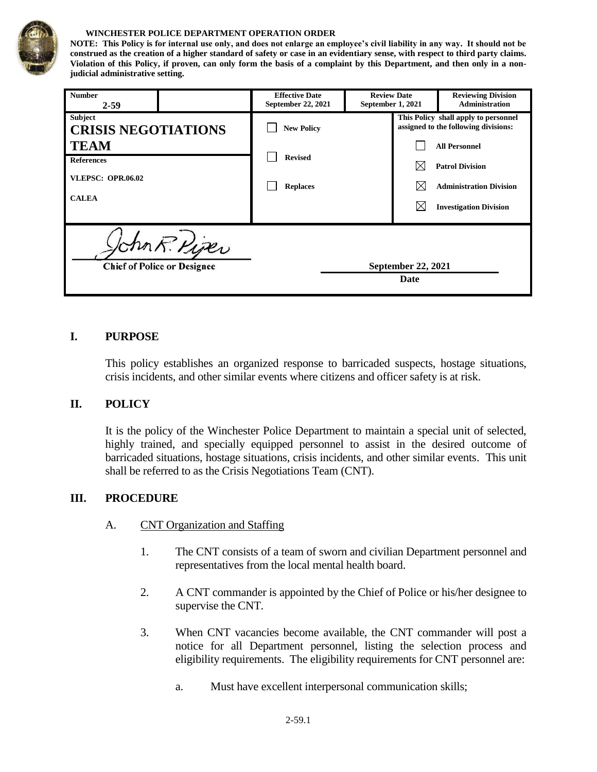

#### **WINCHESTER POLICE DEPARTMENT OPERATION ORDER**

**NOTE: This Policy is for internal use only, and does not enlarge an employee's civil liability in any way. It should not be construed as the creation of a higher standard of safety or case in an evidentiary sense, with respect to third party claims. Violation of this Policy, if proven, can only form the basis of a complaint by this Department, and then only in a nonjudicial administrative setting.**

| <b>Number</b><br>$2 - 59$                                                    |  | <b>Effective Date</b><br>September 22, 2021 | <b>Review Date</b><br>September 1, 2021 |                            | <b>Reviewing Division</b><br><b>Administration</b>                                                                |
|------------------------------------------------------------------------------|--|---------------------------------------------|-----------------------------------------|----------------------------|-------------------------------------------------------------------------------------------------------------------|
| Subject<br><b>CRISIS NEGOTIATIONS</b>                                        |  | <b>New Policy</b>                           |                                         |                            | This Policy shall apply to personnel<br>assigned to the following divisions:                                      |
| <b>TEAM</b><br><b>References</b><br><b>VLEPSC: OPR.06.02</b><br><b>CALEA</b> |  | <b>Revised</b><br><b>Replaces</b>           |                                         |                            | <b>All Personnel</b><br><b>Patrol Division</b><br><b>Administration Division</b><br><b>Investigation Division</b> |
| hn R. Piper<br><b>Chief of Police or Designee</b>                            |  |                                             |                                         | September 22, 2021<br>Date |                                                                                                                   |

#### **I. PURPOSE**

This policy establishes an organized response to barricaded suspects, hostage situations, crisis incidents, and other similar events where citizens and officer safety is at risk.

#### **II. POLICY**

It is the policy of the Winchester Police Department to maintain a special unit of selected, highly trained, and specially equipped personnel to assist in the desired outcome of barricaded situations, hostage situations, crisis incidents, and other similar events. This unit shall be referred to as the Crisis Negotiations Team (CNT).

#### **III. PROCEDURE**

- A. CNT Organization and Staffing
	- 1. The CNT consists of a team of sworn and civilian Department personnel and representatives from the local mental health board.
	- 2. A CNT commander is appointed by the Chief of Police or his/her designee to supervise the CNT.
	- 3. When CNT vacancies become available, the CNT commander will post a notice for all Department personnel, listing the selection process and eligibility requirements. The eligibility requirements for CNT personnel are:
		- a. Must have excellent interpersonal communication skills;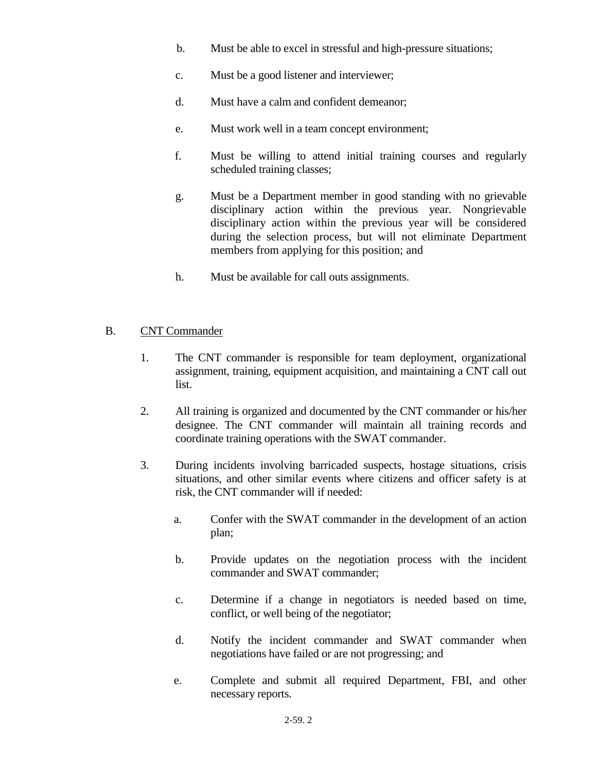- b. Must be able to excel in stressful and high-pressure situations;
- c. Must be a good listener and interviewer;
- d. Must have a calm and confident demeanor;
- e. Must work well in a team concept environment;
- f. Must be willing to attend initial training courses and regularly scheduled training classes;
- g. Must be a Department member in good standing with no grievable disciplinary action within the previous year. Nongrievable disciplinary action within the previous year will be considered during the selection process, but will not eliminate Department members from applying for this position; and
- h. Must be available for call outs assignments.

### B. CNT Commander

- 1. The CNT commander is responsible for team deployment, organizational assignment, training, equipment acquisition, and maintaining a CNT call out list.
- 2. All training is organized and documented by the CNT commander or his/her designee. The CNT commander will maintain all training records and coordinate training operations with the SWAT commander.
- 3. During incidents involving barricaded suspects, hostage situations, crisis situations, and other similar events where citizens and officer safety is at risk, the CNT commander will if needed:
	- a. Confer with the SWAT commander in the development of an action plan;
	- b. Provide updates on the negotiation process with the incident commander and SWAT commander;
	- c. Determine if a change in negotiators is needed based on time, conflict, or well being of the negotiator;
	- d. Notify the incident commander and SWAT commander when negotiations have failed or are not progressing; and
	- e. Complete and submit all required Department, FBI, and other necessary reports.